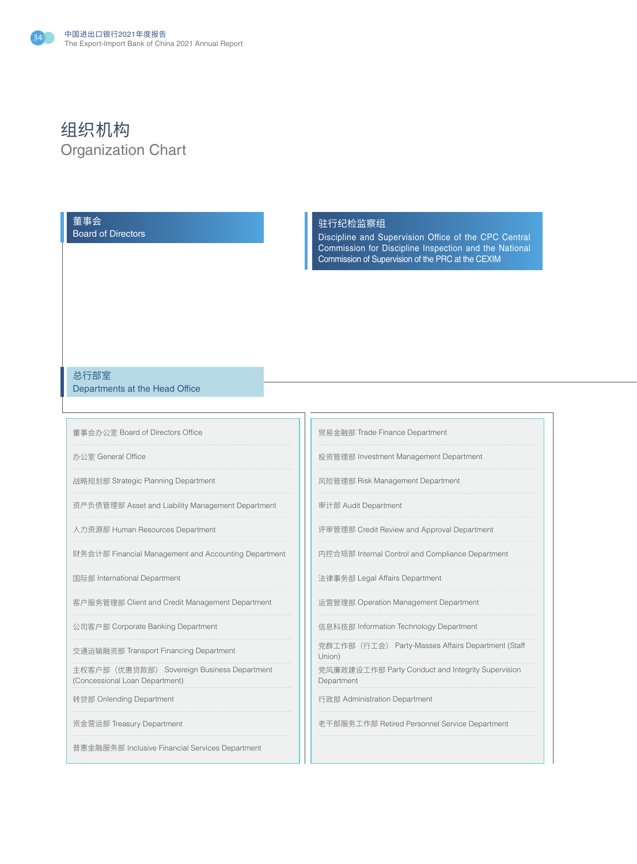

# 组织机构 Organization Chart

### 董事会

Board of Directors

#### 驻行纪检监察组

Discipline and Supervision Office of the CPC Central Commission for Discipline Inspection and the National Commission of Supervision of the PRC at the CEXIM

#### 总行部室

Departments at the Head Office

董事会办公室 Board of Directors Office

办公室 General Office

战略规划部 Strategic Planning Department

资产负债管理部 Asset and Liability Management Department

人力资源部 Human Resources Department

财务会计部 Financial Management and Accounting Department

国际部 International Department

客户服务管理部 Client and Credit Management Department

公司客户部 Corporate Banking Department

交通运输融资部 Transport Financing Department

主权客户部(优惠贷款部) Sovereign Business Department (Concessional Loan Department)

转贷部 Onlending Department

资金营运部 Treasury Department

普惠金融服务部 Inclusive Financial Services Department

贸易金融部 Trade Finance Department

投资管理部 Investment Management Department

风险管理部 Risk Management Department

审计部 Audit Department

评审管理部 Credit Review and Approval Department

内控合规部 Internal Control and Compliance Department

法律事务部 Legal Affairs Department

运营管理部 Operation Management Department

信息科技部 Information Technology Department

党群工作部(行工会) Party-Masses Affairs Department (Staff Union)

党风廉政建设工作部 Party Conduct and Integrity Supervision Department

行政部 Administration Department

老干部服务工作部 Retired Personnel Service Department